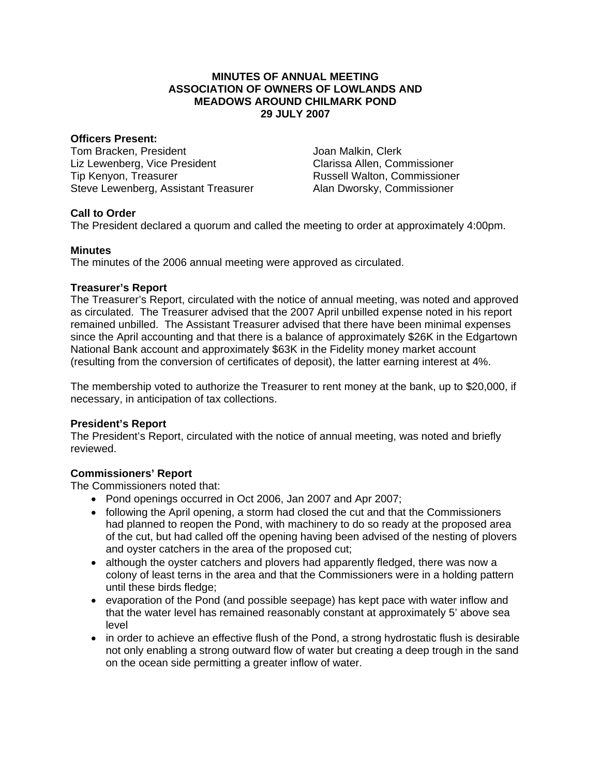#### **MINUTES OF ANNUAL MEETING ASSOCIATION OF OWNERS OF LOWLANDS AND MEADOWS AROUND CHILMARK POND 29 JULY 2007**

#### **Officers Present:**

Tom Bracken, President Liz Lewenberg, Vice President Tip Kenyon, Treasurer Steve Lewenberg, Assistant Treasurer Joan Malkin, Clerk Clarissa Allen, Commissioner Russell Walton, Commissioner Alan Dworsky, Commissioner

# **Call to Order**

The President declared a quorum and called the meeting to order at approximately 4:00pm.

# **Minutes**

The minutes of the 2006 annual meeting were approved as circulated.

# **Treasurer's Report**

The Treasurer's Report, circulated with the notice of annual meeting, was noted and approved as circulated. The Treasurer advised that the 2007 April unbilled expense noted in his report remained unbilled. The Assistant Treasurer advised that there have been minimal expenses since the April accounting and that there is a balance of approximately \$26K in the Edgartown National Bank account and approximately \$63K in the Fidelity money market account (resulting from the conversion of certificates of deposit), the latter earning interest at 4%.

The membership voted to authorize the Treasurer to rent money at the bank, up to \$20,000, if necessary, in anticipation of tax collections.

# **President's Report**

The President's Report, circulated with the notice of annual meeting, was noted and briefly reviewed.

# **Commissioners' Report**

The Commissioners noted that:

- Pond openings occurred in Oct 2006, Jan 2007 and Apr 2007;
- following the April opening, a storm had closed the cut and that the Commissioners had planned to reopen the Pond, with machinery to do so ready at the proposed area of the cut, but had called off the opening having been advised of the nesting of plovers and oyster catchers in the area of the proposed cut;
- although the oyster catchers and plovers had apparently fledged, there was now a colony of least terns in the area and that the Commissioners were in a holding pattern until these birds fledge;
- evaporation of the Pond (and possible seepage) has kept pace with water inflow and that the water level has remained reasonably constant at approximately 5' above sea level
- in order to achieve an effective flush of the Pond, a strong hydrostatic flush is desirable not only enabling a strong outward flow of water but creating a deep trough in the sand on the ocean side permitting a greater inflow of water.